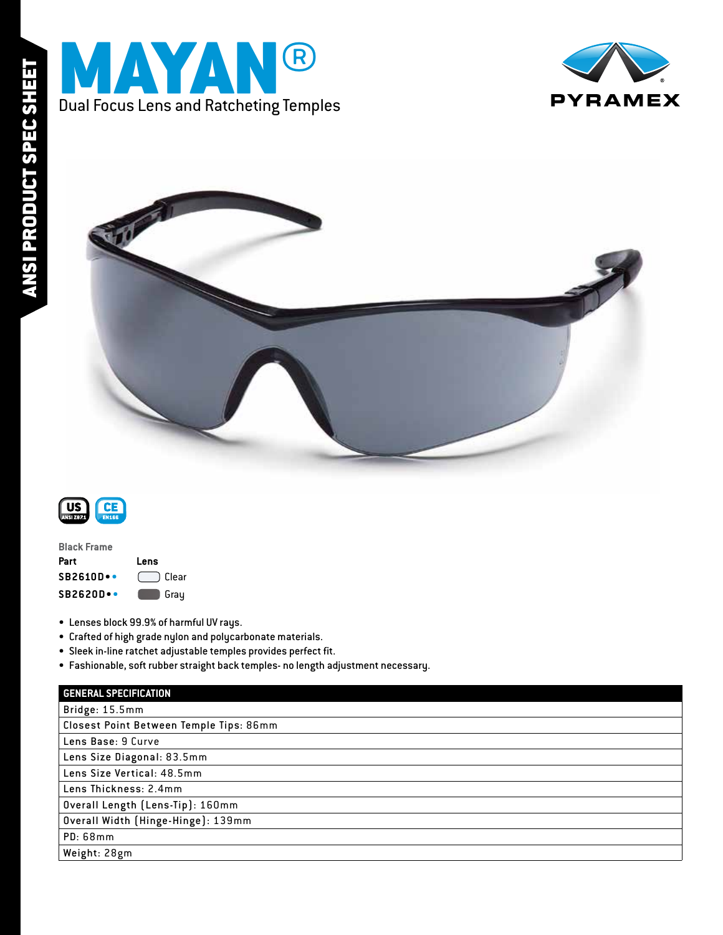







**Black Frame**

**Part Lens SB2610D••** Clear **SB2620D••** Gray

- Lenses block 99.9% of harmful UV rays.
- Crafted of high grade nylon and polycarbonate materials.
- Sleek in-line ratchet adjustable temples provides perfect fit.
- Fashionable, soft rubber straight back temples- no length adjustment necessary.

## **GENERAL SPECIFICATION**

| <b>ULINLIVAL JI LUII IUAIIUN</b>        |
|-----------------------------------------|
| Bridge: 15.5mm                          |
| Closest Point Between Temple Tips: 86mm |
| Lens Base: 9 Curve                      |
| Lens Size Diagonal: 83.5mm              |
| Lens Size Vertical: 48.5mm              |
| Lens Thickness: 2.4mm                   |
| Overall Length (Lens-Tip): 160mm        |
| Overall Width (Hinge-Hinge): 139mm      |
| <b>PD: 68mm</b>                         |
| Weight: 28gm                            |